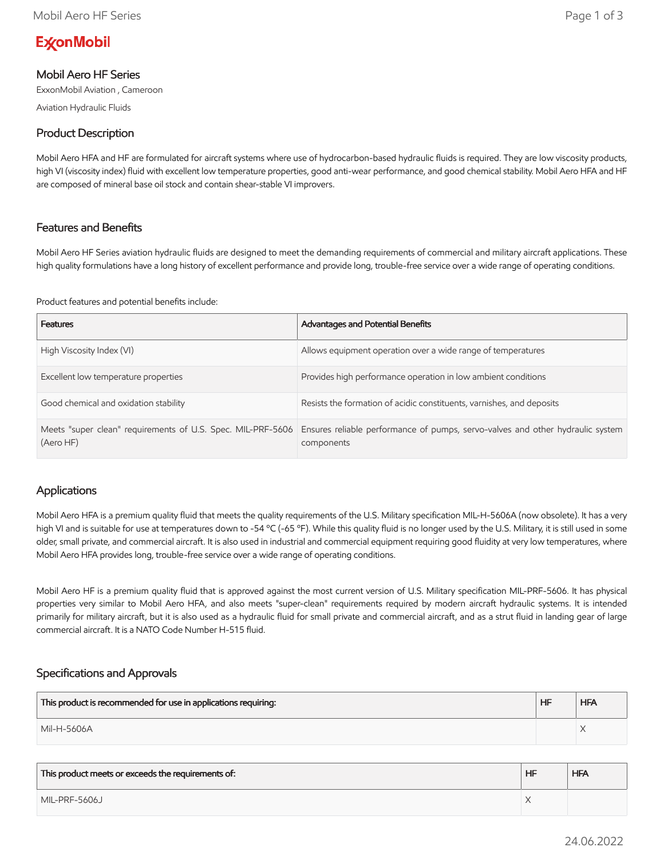# **ExconMobil**

## Mobil Aero HF Series

ExxonMobil Aviation , Cameroon

Aviation Hydraulic Fluids

# Product Description

Mobil Aero HFA and HF are formulated for aircraft systems where use of hydrocarbon-based hydraulic fluids is required. They are low viscosity products, high VI (viscosity index) fluid with excellent low temperature properties, good anti-wear performance, and good chemical stability. Mobil Aero HFA and HF are composed of mineral base oil stock and contain shear-stable VI improvers.

#### Features and Benefits

Mobil Aero HF Series aviation hydraulic fluids are designed to meet the demanding requirements of commercial and military aircraft applications. These high quality formulations have a long history of excellent performance and provide long, trouble-free service over a wide range of operating conditions.

Product features and potential benefits include:

| <b>Features</b>                                                          | <b>Advantages and Potential Benefits</b>                                                     |
|--------------------------------------------------------------------------|----------------------------------------------------------------------------------------------|
| High Viscosity Index (VI)                                                | Allows equipment operation over a wide range of temperatures                                 |
| Excellent low temperature properties                                     | Provides high performance operation in low ambient conditions                                |
| Good chemical and oxidation stability                                    | Resists the formation of acidic constituents, varnishes, and deposits                        |
| Meets "super clean" requirements of U.S. Spec. MIL-PRF-5606<br>(Aero HF) | Ensures reliable performance of pumps, servo-valves and other hydraulic system<br>components |

#### Applications

Mobil Aero HFA is a premium quality fluid that meets the quality requirements of the U.S. Military specification MIL-H-5606A (now obsolete). It has a very high VI and is suitable for use at temperatures down to -54 °C (-65 °F). While this quality fluid is no longer used by the U.S. Military, it is still used in some older, small private, and commercial aircraft. It is also used in industrial and commercial equipment requiring good fluidity at very low temperatures, where Mobil Aero HFA provides long, trouble-free service over a wide range of operating conditions.

Mobil Aero HF is a premium quality fluid that is approved against the most current version of U.S. Military specification MIL-PRF-5606. It has physical properties very similar to Mobil Aero HFA, and also meets "super-clean" requirements required by modern aircraft hydraulic systems. It is intended primarily for military aircraft, but it is also used as a hydraulic fluid for small private and commercial aircraft, and as a strut fluid in landing gear of large commercial aircraft. It is a NATO Code Number H-515 fluid.

## Specifications and Approvals

| This product is recommended for use in applications requiring: | HF | <b>HFA</b> |
|----------------------------------------------------------------|----|------------|
| Mil-H-5606A                                                    |    |            |

| This product meets or exceeds the requirements of: | <b>HF</b> | <b>HFA</b> |
|----------------------------------------------------|-----------|------------|
| MIL-PRF-5606J                                      |           |            |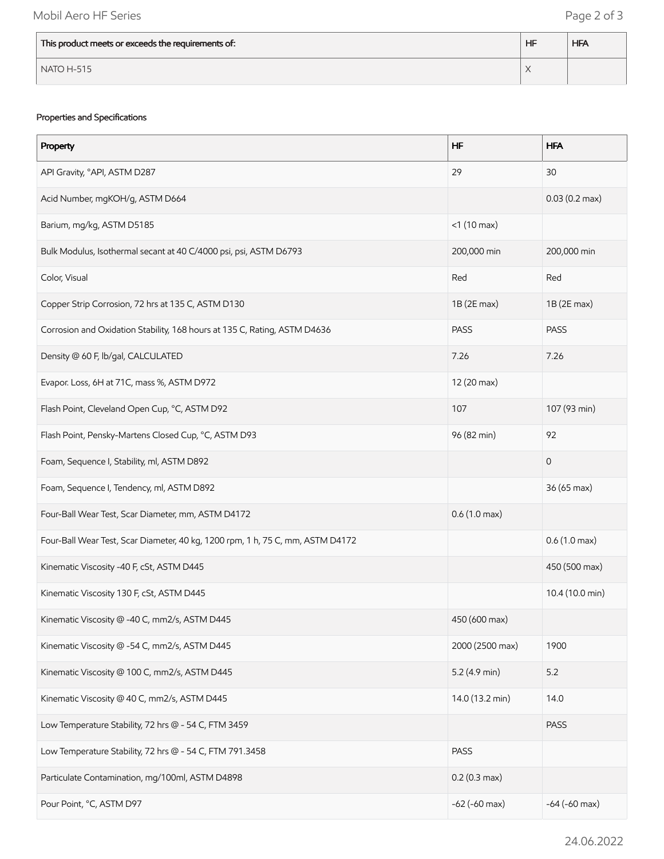| This product meets or exceeds the requirements of: | <b>HF</b> | <b>HFA</b> |
|----------------------------------------------------|-----------|------------|
| $\sqrt{}$ NATO H-515                               |           |            |

#### Properties and Specifications

| Property                                                                       | <b>HF</b>              | <b>HFA</b>              |
|--------------------------------------------------------------------------------|------------------------|-------------------------|
| API Gravity, °API, ASTM D287                                                   | 29                     | 30                      |
| Acid Number, mgKOH/g, ASTM D664                                                |                        | $0.03(0.2 \text{ max})$ |
| Barium, mg/kg, ASTM D5185                                                      | $<$ 1 (10 max)         |                         |
| Bulk Modulus, Isothermal secant at 40 C/4000 psi, psi, ASTM D6793              | 200,000 min            | 200,000 min             |
| Color, Visual                                                                  | Red                    | Red                     |
| Copper Strip Corrosion, 72 hrs at 135 C, ASTM D130                             | 1B (2E max)            | $1B(2E$ max)            |
| Corrosion and Oxidation Stability, 168 hours at 135 C, Rating, ASTM D4636      | <b>PASS</b>            | <b>PASS</b>             |
| Density @ 60 F, lb/gal, CALCULATED                                             | 7.26                   | 7.26                    |
| Evapor. Loss, 6H at 71C, mass %, ASTM D972                                     | 12 (20 max)            |                         |
| Flash Point, Cleveland Open Cup, °C, ASTM D92                                  | 107                    | 107 (93 min)            |
| Flash Point, Pensky-Martens Closed Cup, °C, ASTM D93                           | 96 (82 min)            | 92                      |
| Foam, Sequence I, Stability, ml, ASTM D892                                     |                        | $\mathbf 0$             |
| Foam, Sequence I, Tendency, ml, ASTM D892                                      |                        | 36 (65 max)             |
| Four-Ball Wear Test, Scar Diameter, mm, ASTM D4172                             | $0.6(1.0 \text{ max})$ |                         |
| Four-Ball Wear Test, Scar Diameter, 40 kg, 1200 rpm, 1 h, 75 C, mm, ASTM D4172 |                        | $0.6(1.0 \text{ max})$  |
| Kinematic Viscosity -40 F, cSt, ASTM D445                                      |                        | 450 (500 max)           |
| Kinematic Viscosity 130 F, cSt, ASTM D445                                      |                        | 10.4 (10.0 min)         |
| Kinematic Viscosity @ -40 C, mm2/s, ASTM D445                                  | 450 (600 max)          |                         |
| Kinematic Viscosity @ -54 C, mm2/s, ASTM D445                                  | 2000 (2500 max)        | 1900                    |
| Kinematic Viscosity @ 100 C, mm2/s, ASTM D445                                  | $5.2$ (4.9 min)        | 5.2                     |
| Kinematic Viscosity @ 40 C, mm2/s, ASTM D445                                   | 14.0 (13.2 min)        | 14.0                    |
| Low Temperature Stability, 72 hrs @ - 54 C, FTM 3459                           |                        | <b>PASS</b>             |
| Low Temperature Stability, 72 hrs @ - 54 C, FTM 791.3458                       | <b>PASS</b>            |                         |
| Particulate Contamination, mg/100ml, ASTM D4898                                | $0.2(0.3 \text{ max})$ |                         |
| Pour Point, °C, ASTM D97                                                       | $-62$ ( $-60$ max)     | $-64$ ( $-60$ max)      |